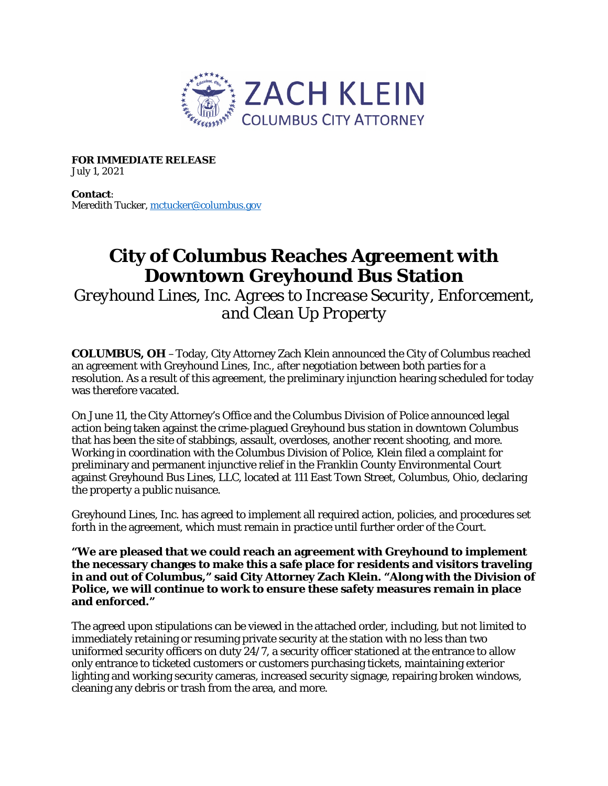

**FOR IMMEDIATE RELEASE** July 1, 2021

**Contact**: Meredith Tucker, [mctucker@columbus.gov](mailto:mctucker@columbus.gov)

## **City of Columbus Reaches Agreement with Downtown Greyhound Bus Station**

*Greyhound Lines, Inc. Agrees to Increase Security, Enforcement, and Clean Up Property* 

**COLUMBUS, OH** –Today, City Attorney Zach Klein announced the City of Columbus reached an agreement with Greyhound Lines, Inc., after negotiation between both parties for a resolution. As a result of this agreement, the preliminary injunction hearing scheduled for today was therefore vacated.

On June 11, the City Attorney's Office and the Columbus Division of Police announced legal action being taken against the crime-plagued Greyhound bus station in downtown Columbus that has been the site of stabbings, assault, overdoses, another recent shooting, and more. Working in coordination with the Columbus Division of Police, Klein filed a complaint for preliminary and permanent injunctive relief in the Franklin County Environmental Court against Greyhound Bus Lines, LLC, located at 111 East Town Street, Columbus, Ohio, declaring the property a public nuisance.

Greyhound Lines, Inc. has agreed to implement all required action, policies, and procedures set forth in the agreement, which must remain in practice until further order of the Court.

**"We are pleased that we could reach an agreement with Greyhound to implement the necessary changes to make this a safe place for residents and visitors traveling in and out of Columbus," said City Attorney Zach Klein. "Along with the Division of Police, we will continue to work to ensure these safety measures remain in place and enforced."**

The agreed upon stipulations can be viewed in the attached order, including, but not limited to immediately retaining or resuming private security at the station with no less than two uniformed security officers on duty 24/7, a security officer stationed at the entrance to allow only entrance to ticketed customers or customers purchasing tickets, maintaining exterior lighting and working security cameras, increased security signage, repairing broken windows, cleaning any debris or trash from the area, and more.